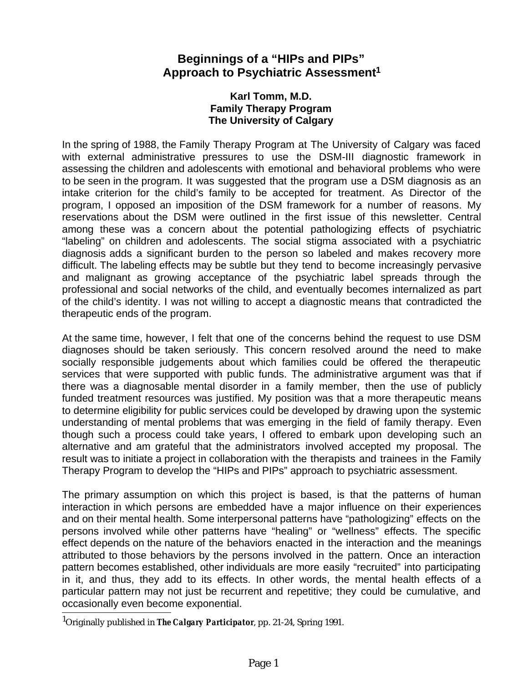## **Beginnings of a "HIPs and PIPs" Approach to Psychiatric Assessment<sup>1</sup>**

## **Karl Tomm, M.D. Family Therapy Program The University of Calgary**

In the spring of 1988, the Family Therapy Program at The University of Calgary was faced with external administrative pressures to use the DSM-III diagnostic framework in assessing the children and adolescents with emotional and behavioral problems who were to be seen in the program. It was suggested that the program use a DSM diagnosis as an intake criterion for the child's family to be accepted for treatment. As Director of the program, I opposed an imposition of the DSM framework for a number of reasons. My reservations about the DSM were outlined in the first issue of this newsletter. Central among these was a concern about the potential pathologizing effects of psychiatric "labeling" on children and adolescents. The social stigma associated with a psychiatric diagnosis adds a significant burden to the person so labeled and makes recovery more difficult. The labeling effects may be subtle but they tend to become increasingly pervasive and malignant as growing acceptance of the psychiatric label spreads through the professional and social networks of the child, and eventually becomes internalized as part of the child's identity. I was not willing to accept a diagnostic means that contradicted the therapeutic ends of the program.

At the same time, however, I felt that one of the concerns behind the request to use DSM diagnoses should be taken seriously. This concern resolved around the need to make socially responsible judgements about which families could be offered the therapeutic services that were supported with public funds. The administrative argument was that if there was a diagnosable mental disorder in a family member, then the use of publicly funded treatment resources was justified. My position was that a more therapeutic means to determine eligibility for public services could be developed by drawing upon the systemic understanding of mental problems that was emerging in the field of family therapy. Even though such a process could take years, I offered to embark upon developing such an alternative and am grateful that the administrators involved accepted my proposal. The result was to initiate a project in collaboration with the therapists and trainees in the Family Therapy Program to develop the "HIPs and PIPs" approach to psychiatric assessment.

The primary assumption on which this project is based, is that the patterns of human interaction in which persons are embedded have a major influence on their experiences and on their mental health. Some interpersonal patterns have "pathologizing" effects on the persons involved while other patterns have "healing" or "wellness" effects. The specific effect depends on the nature of the behaviors enacted in the interaction and the meanings attributed to those behaviors by the persons involved in the pattern. Once an interaction pattern becomes established, other individuals are more easily "recruited" into participating in it, and thus, they add to its effects. In other words, the mental health effects of a particular pattern may not just be recurrent and repetitive; they could be cumulative, and occasionally even become exponential.

<sup>1</sup>Originally published in *The Calgary Participator*, pp. 21-24, Spring 1991.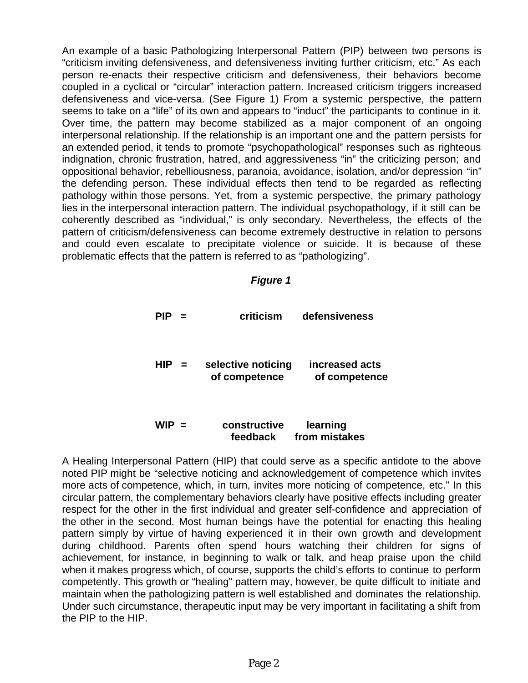An example of a basic Pathologizing Interpersonal Pattern (PIP) between two persons is "criticism inviting defensiveness, and defensiveness inviting further criticism, etc." As each person re-enacts their respective criticism and defensiveness, their behaviors become coupled in a cyclical or "circular" interaction pattern. Increased criticism triggers increased defensiveness and vice-versa. (See Figure 1) From a systemic perspective, the pattern seems to take on a "life" of its own and appears to "induct" the participants to continue in it. Over time, the pattern may become stabilized as a major component of an ongoing interpersonal relationship. If the relationship is an important one and the pattern persists for an extended period, it tends to promote "psychopathological" responses such as righteous indignation, chronic frustration, hatred, and aggressiveness "in" the criticizing person; and oppositional behavior, rebelliousness, paranoia, avoidance, isolation, and/or depression "in" the defending person. These individual effects then tend to be regarded as reflecting pathology within those persons. Yet, from a systemic perspective, the primary pathology lies in the interpersonal interaction pattern. The individual psychopathology, if it still can be coherently described as "individual," is only secondary. Nevertheless, the effects of the pattern of criticism/defensiveness can become extremely destructive in relation to persons and could even escalate to precipitate violence or suicide. It is because of these problematic effects that the pattern is referred to as "pathologizing".

## **Figure 1**

| PIP        | $\blacksquare$ | criticism                           | defensiveness                   |
|------------|----------------|-------------------------------------|---------------------------------|
| <b>HIP</b> |                | selective noticing<br>of competence | increased acts<br>of competence |
| <b>WIP</b> |                | constructive                        | learning                        |

 **feedback from mistakes**

A Healing Interpersonal Pattern (HIP) that could serve as a specific antidote to the above noted PIP might be "selective noticing and acknowledgement of competence which invites more acts of competence, which, in turn, invites more noticing of competence, etc." In this circular pattern, the complementary behaviors clearly have positive effects including greater respect for the other in the first individual and greater self-confidence and appreciation of the other in the second. Most human beings have the potential for enacting this healing pattern simply by virtue of having experienced it in their own growth and development during childhood. Parents often spend hours watching their children for signs of achievement, for instance, in beginning to walk or talk, and heap praise upon the child when it makes progress which, of course, supports the child's efforts to continue to perform competently. This growth or "healing" pattern may, however, be quite difficult to initiate and maintain when the pathologizing pattern is well established and dominates the relationship. Under such circumstance, therapeutic input may be very important in facilitating a shift from the PIP to the HIP.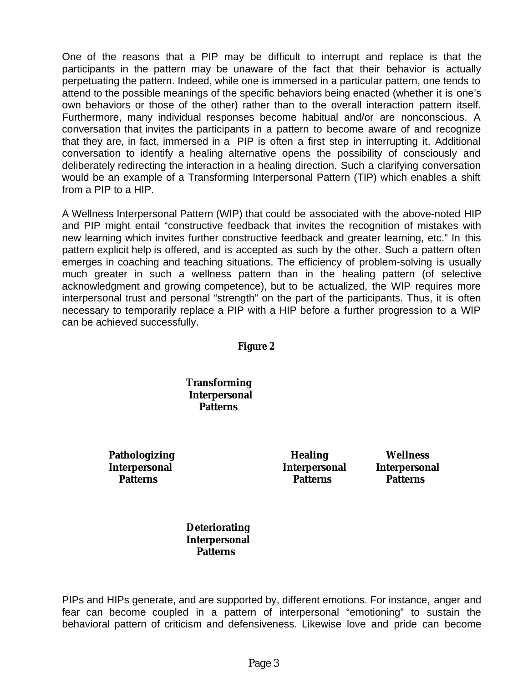One of the reasons that a PIP may be difficult to interrupt and replace is that the participants in the pattern may be unaware of the fact that their behavior is actually perpetuating the pattern. Indeed, while one is immersed in a particular pattern, one tends to attend to the possible meanings of the specific behaviors being enacted (whether it is one's own behaviors or those of the other) rather than to the overall interaction pattern itself. Furthermore, many individual responses become habitual and/or are nonconscious. A conversation that invites the participants in a pattern to become aware of and recognize that they are, in fact, immersed in a PIP is often a first step in interrupting it. Additional conversation to identify a healing alternative opens the possibility of consciously and deliberately redirecting the interaction in a healing direction. Such a clarifying conversation would be an example of a Transforming Interpersonal Pattern (TIP) which enables a shift from a PIP to a HIP.

A Wellness Interpersonal Pattern (WIP) that could be associated with the above-noted HIP and PIP might entail "constructive feedback that invites the recognition of mistakes with new learning which invites further constructive feedback and greater learning, etc." In this pattern explicit help is offered, and is accepted as such by the other. Such a pattern often emerges in coaching and teaching situations. The efficiency of problem-solving is usually much greater in such a wellness pattern than in the healing pattern (of selective acknowledgment and growing competence), but to be actualized, the WIP requires more interpersonal trust and personal "strength" on the part of the participants. Thus, it is often necessary to temporarily replace a PIP with a HIP before a further progression to a WIP can be achieved successfully.

*Figure 2*

**Transforming Interpersonal Patterns**

Pathologizing **Healing** Wellness **Interpersonal Interpersonal Interpersonal** 

 **Patterns Patterns Patterns** 

**Deteriorating Interpersonal Patterns**

PIPs and HIPs generate, and are supported by, different emotions. For instance, anger and fear can become coupled in a pattern of interpersonal "emotioning" to sustain the behavioral pattern of criticism and defensiveness. Likewise love and pride can become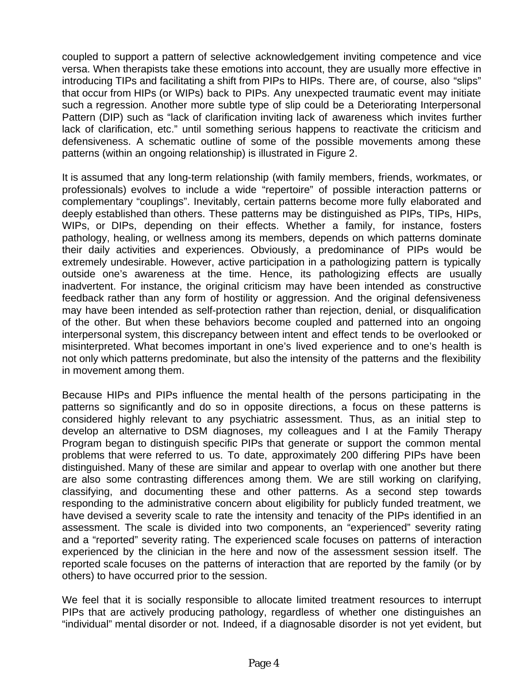coupled to support a pattern of selective acknowledgement inviting competence and vice versa. When therapists take these emotions into account, they are usually more effective in introducing TIPs and facilitating a shift from PIPs to HIPs. There are, of course, also "slips" that occur from HIPs (or WIPs) back to PIPs. Any unexpected traumatic event may initiate such a regression. Another more subtle type of slip could be a Deteriorating Interpersonal Pattern (DIP) such as "lack of clarification inviting lack of awareness which invites further lack of clarification, etc." until something serious happens to reactivate the criticism and defensiveness. A schematic outline of some of the possible movements among these patterns (within an ongoing relationship) is illustrated in Figure 2.

It is assumed that any long-term relationship (with family members, friends, workmates, or professionals) evolves to include a wide "repertoire" of possible interaction patterns or complementary "couplings". Inevitably, certain patterns become more fully elaborated and deeply established than others. These patterns may be distinguished as PIPs, TIPs, HIPs, WIPs, or DIPs, depending on their effects. Whether a family, for instance, fosters pathology, healing, or wellness among its members, depends on which patterns dominate their daily activities and experiences. Obviously, a predominance of PIPs would be extremely undesirable. However, active participation in a pathologizing pattern is typically outside one's awareness at the time. Hence, its pathologizing effects are usually inadvertent. For instance, the original criticism may have been intended as constructive feedback rather than any form of hostility or aggression. And the original defensiveness may have been intended as self-protection rather than rejection, denial, or disqualification of the other. But when these behaviors become coupled and patterned into an ongoing interpersonal system, this discrepancy between intent and effect tends to be overlooked or misinterpreted. What becomes important in one's lived experience and to one's health is not only which patterns predominate, but also the intensity of the patterns and the flexibility in movement among them.

Because HIPs and PIPs influence the mental health of the persons participating in the patterns so significantly and do so in opposite directions, a focus on these patterns is considered highly relevant to any psychiatric assessment. Thus, as an initial step to develop an alternative to DSM diagnoses, my colleagues and I at the Family Therapy Program began to distinguish specific PIPs that generate or support the common mental problems that were referred to us. To date, approximately 200 differing PIPs have been distinguished. Many of these are similar and appear to overlap with one another but there are also some contrasting differences among them. We are still working on clarifying, classifying, and documenting these and other patterns. As a second step towards responding to the administrative concern about eligibility for publicly funded treatment, we have devised a severity scale to rate the intensity and tenacity of the PIPs identified in an assessment. The scale is divided into two components, an "experienced" severity rating and a "reported" severity rating. The experienced scale focuses on patterns of interaction experienced by the clinician in the here and now of the assessment session itself. The reported scale focuses on the patterns of interaction that are reported by the family (or by others) to have occurred prior to the session.

We feel that it is socially responsible to allocate limited treatment resources to interrupt PIPs that are actively producing pathology, regardless of whether one distinguishes an "individual" mental disorder or not. Indeed, if a diagnosable disorder is not yet evident, but